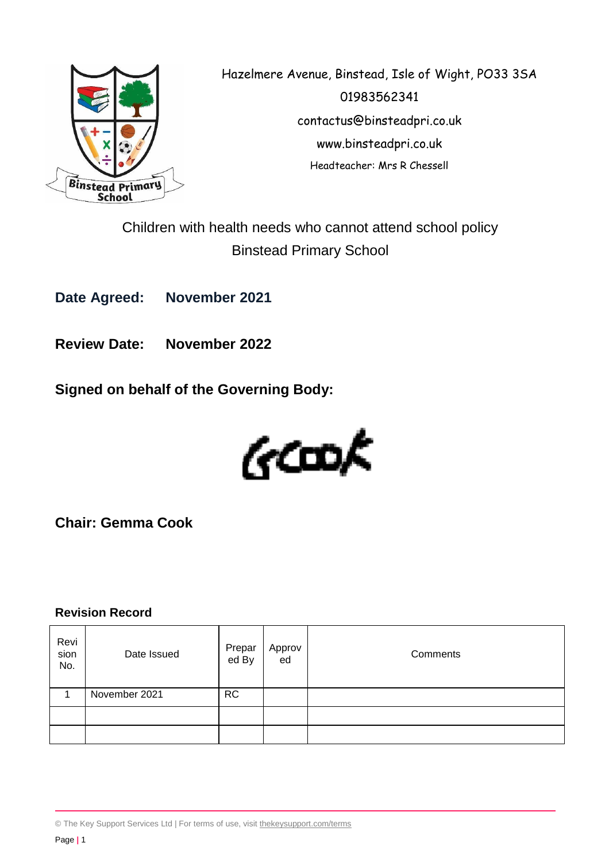

Hazelmere Avenue, Binstead, Isle of Wight, PO33 3SA 01983562341 contactus@binsteadpri.co.uk www.binsteadpri.co.uk Headteacher: Mrs R Chessell

Children with health needs who cannot attend school policy Binstead Primary School

**Date Agreed: November 2021**

**Review Date: November 2022**

**Signed on behalf of the Governing Body:**



**Chair: Gemma Cook**

### **Revision Record**

| Revi<br>sion<br>No. | Date Issued   | Prepar<br>ed By | Approv<br>ed | Comments |
|---------------------|---------------|-----------------|--------------|----------|
|                     | November 2021 | <b>RC</b>       |              |          |
|                     |               |                 |              |          |
|                     |               |                 |              |          |

© The Key Support Services Ltd | For terms of use, visit [thekeysupport.com/terms](https://thekeysupport.com/terms-of-use)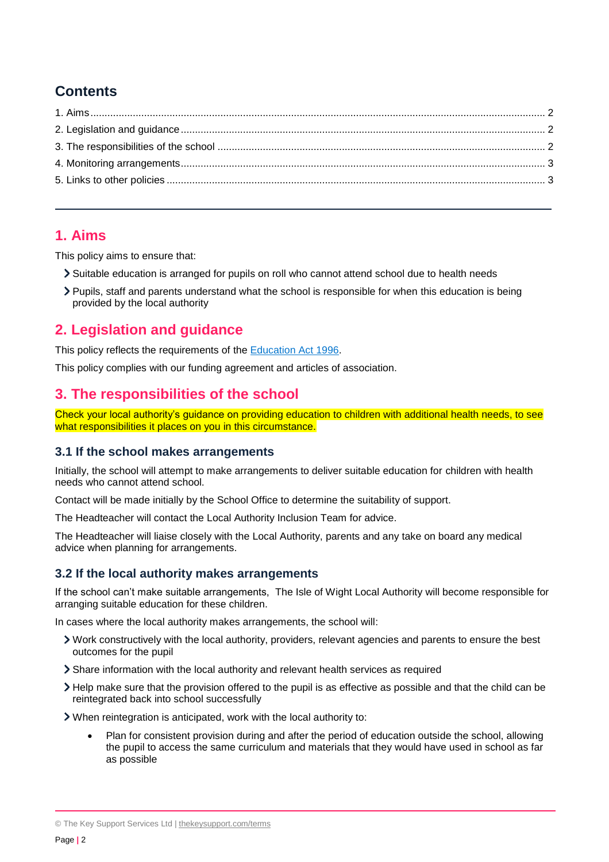# **Contents**

### <span id="page-1-0"></span>**1. Aims**

This policy aims to ensure that:

- Suitable education is arranged for pupils on roll who cannot attend school due to health needs
- Pupils, staff and parents understand what the school is responsible for when this education is being provided by the local authority

# <span id="page-1-1"></span>**2. Legislation and guidance**

This policy reflects the requirements of the [Education Act 1996.](http://www.legislation.gov.uk/ukpga/1996/56/section/19)

This policy complies with our funding agreement and articles of association.

## <span id="page-1-2"></span>**3. The responsibilities of the school**

Check your local authority's guidance on providing education to children with additional health needs, to see what responsibilities it places on you in this circumstance.

### **3.1 If the school makes arrangements**

Initially, the school will attempt to make arrangements to deliver suitable education for children with health needs who cannot attend school.

Contact will be made initially by the School Office to determine the suitability of support.

The Headteacher will contact the Local Authority Inclusion Team for advice.

The Headteacher will liaise closely with the Local Authority, parents and any take on board any medical advice when planning for arrangements.

### **3.2 If the local authority makes arrangements**

If the school can't make suitable arrangements, The Isle of Wight Local Authority will become responsible for arranging suitable education for these children.

In cases where the local authority makes arrangements, the school will:

- Work constructively with the local authority, providers, relevant agencies and parents to ensure the best outcomes for the pupil
- Share information with the local authority and relevant health services as required
- Help make sure that the provision offered to the pupil is as effective as possible and that the child can be reintegrated back into school successfully
- When reintegration is anticipated, work with the local authority to:
	- Plan for consistent provision during and after the period of education outside the school, allowing the pupil to access the same curriculum and materials that they would have used in school as far as possible

© The Key Support Services Ltd | [thekeysupport.com/terms](https://thekeysupport.com/terms-of-use)